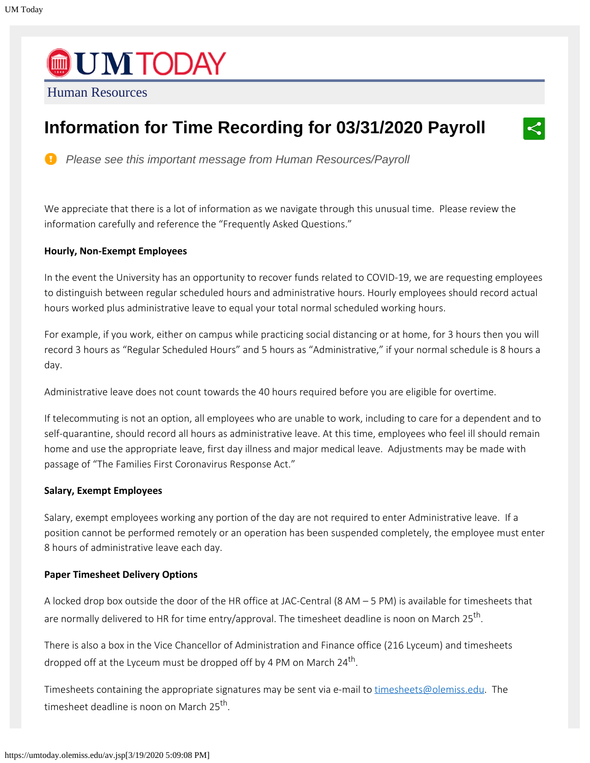# **UMTODAY**

Human Resources

# **Information for Time Recording for 03/31/2020 Payroll**



We appreciate that there is a lot of information as we navigate through this unusual time. Please review the information carefully and reference the "Frequently Asked Questions."

#### **Hourly, Non-Exempt Employees**

In the event the University has an opportunity to recover funds related to COVID-19, we are requesting employees to distinguish between regular scheduled hours and administrative hours. Hourly employees should record actual hours worked plus administrative leave to equal your total normal scheduled working hours.

For example, if you work, either on campus while practicing social distancing or at home, for 3 hours then you will record 3 hours as "Regular Scheduled Hours" and 5 hours as "Administrative," if your normal schedule is 8 hours a day.

Administrative leave does not count towards the 40 hours required before you are eligible for overtime.

If telecommuting is not an option, all employees who are unable to work, including to care for a dependent and to self-quarantine, should record all hours as administrative leave. At this time, employees who feel ill should remain home and use the appropriate leave, first day illness and major medical leave. Adjustments may be made with passage of "The Families First Coronavirus Response Act."

#### **Salary, Exempt Employees**

Salary, exempt employees working any portion of the day are not required to enter Administrative leave. If a position cannot be performed remotely or an operation has been suspended completely, the employee must enter 8 hours of administrative leave each day.

#### **Paper Timesheet Delivery Options**

A locked drop box outside the door of the HR office at JAC-Central (8 AM – 5 PM) is available for timesheets that are normally delivered to HR for time entry/approval. The timesheet deadline is noon on March 25<sup>th</sup>.

There is also a box in the Vice Chancellor of Administration and Finance office (216 Lyceum) and timesheets dropped off at the Lyceum must be dropped off by 4 PM on March 24<sup>th</sup>.

Timesheets containing the appropriate signatures may be sent via e-mail to [timesheets@olemiss.edu.](mailto:timesheets@olemiss.edu) The timesheet deadline is noon on March 25<sup>th</sup>.